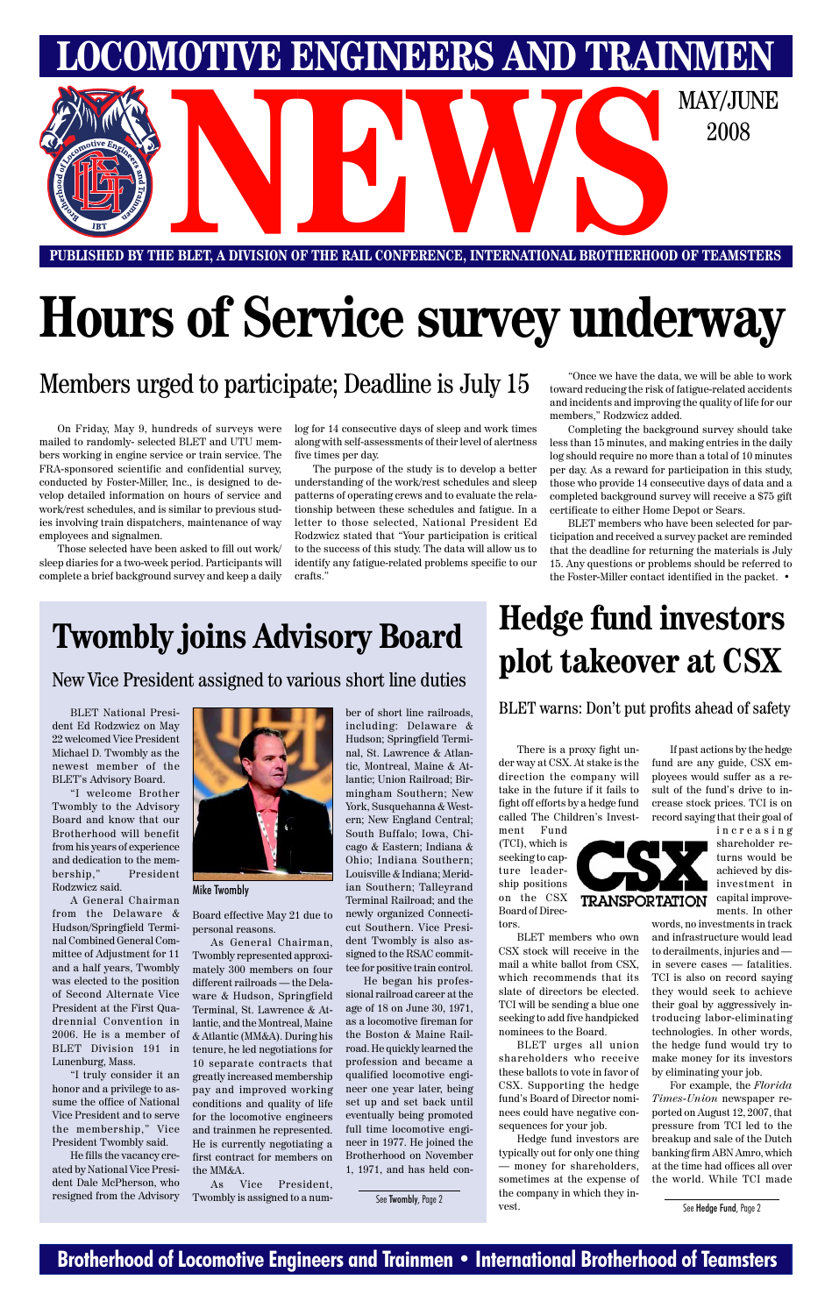### **Brotherhood of Locomotive Engineers and Trainmen • International Brotherhood of Teamsters**

**LOMOTIVE ENGINEERS AND TRAINMEN** 

**PUBLISHED BY THE BLET, A DIVISION OF THE RAIL CONFERENCE, INTERNATIONAL BROTHERHOOD OF TEAMSTERS NEWSPACE AND DESCRIPTION OF THE RAIL CONFERENCE, INTERNATIONAL BROTHERHOOD OF TEAMSTERS** 

2008

# **Hours of Service survey underway**

## **Twombly joins Advisory Board**

New Vice President assigned to various short line duties

BLET National President Ed Rodzwicz on May 22 welcomed Vice President Michael D. Twombly as the newest member of the BLET's Advisory Board.

"I welcome Brother Twombly to the Advisory Board and know that our Brotherhood will benefit from his years of experience and dedication to the membership," President Rodzwicz said.

A General Chairman from the Delaware & Hudson/Springfield Terminal Combined General Committee of Adjustment for 11 and a half years, Twombly was elected to the position of Second Alternate Vice President at the First Quadrennial Convention in 2006. He is a member of BLET Division 191 in Lunenburg, Mass. "I truly consider it an honor and a privilege to assume the office of National Vice President and to serve the membership," Vice President Twombly said.



He fills the vacancy created by National Vice President Dale McPherson, who resigned from the Advisory Board effective May 21 due to personal reasons.

As General Chairman, Twombly represented approxi-

mately 300 members on four different railroads — the Delaware & Hudson, Springfield Terminal, St. Lawrence & Atlantic, and the Montreal, Maine & Atlantic (MM&A). During his tenure, he led negotiations for 10 separate contracts that greatly increased membership pay and improved working conditions and quality of life for the locomotive engineers and trainmen he represented. He is currently negotiating a first contract for members on

Hedge fund investors are typically out for only one thing — money for shareholders, sometimes at the expense of the company in which they invest. See Twombly, Page 2<br>
See Hedge Fund, Page 2

the MM&A.

As Vice President, Twombly is assigned to a num-

ber of short line railroads, including: Delaware & Hudson; Springfield Terminal, St. Lawrence & Atlantic, Montreal, Maine & Atlantic; Union Railroad; Birmingham Southern; New York, Susquehanna & Western; New England Central; South Buffalo; Iowa, Chicago & Eastern; Indiana & Ohio; Indiana Southern; Louisville & Indiana; Meridian Southern; Talleyrand Terminal Railroad; and the newly organized Connecticut Southern. Vice President Twombly is also assigned to the RSAC commit-

tee for positive train control.

He began his professional railroad career at the age of 18 on June 30, 1971, as a locomotive fireman for the Boston & Maine Railroad. He quickly learned the profession and became a qualified locomotive engineer one year later, being set up and set back until eventually being promoted full time locomotive engineer in 1977. He joined the Brotherhood on November 1, 1971, and has held con-

Mike Twombly

There is a proxy fight under way at CSX. At stake is the direction the company will take in the future if it fails to fight off efforts by a hedge fund called The Children's Invest-

ment Fund (TCI), which is seeking to capture leadership positions on the CSX Board of Directors.

BLET members who own CSX stock will receive in the mail a white ballot from CSX, which recommends that its slate of directors be elected. TCI will be sending a blue one seeking to add five handpicked nominees to the Board.



BLET urges all union shareholders who receive these ballots to vote in favor of CSX. Supporting the hedge fund's Board of Director nominees could have negative consequences for your job.

If past actions by the hedge fund are any guide, CSX employees would suffer as a result of the fund's drive to increase stock prices. TCI is on record saying that their goal of

increasing shareholder returns would be achieved by disinvestment in capital improvements. In other

words, no investments in track and infrastructure would lead to derailments, injuries and in severe cases — fatalities. TCI is also on record saying they would seek to achieve their goal by aggressively introducing labor-eliminating technologies. In other words, the hedge fund would try to make money for its investors by eliminating your job. For example, the *Florida Times-Union* newspaper reported on August 12, 2007, that pressure from TCI led to the breakup and sale of the Dutch banking firm ABN Amro, which at the time had offices all over the world. While TCI made

# **Hedge fund investors plot takeover at CSX**

BLET warns: Don't put profits ahead of safety

On Friday, May 9, hundreds of surveys were mailed to randomly- selected BLET and UTU members working in engine service or train service. The FRA-sponsored scientific and confidential survey, conducted by Foster-Miller, Inc., is designed to develop detailed information on hours of service and work/rest schedules, and is similar to previous studies involving train dispatchers, maintenance of way employees and signalmen.

Those selected have been asked to fill out work/ sleep diaries for a two-week period. Participants will complete a brief background survey and keep a daily

log for 14 consecutive days of sleep and work times along with self-assessments of their level of alertness five times per day.

The purpose of the study is to develop a better understanding of the work/rest schedules and sleep patterns of operating crews and to evaluate the relationship between these schedules and fatigue. In a letter to those selected, National President Ed Rodzwicz stated that "Your participation is critical to the success of this study. The data will allow us to identify any fatigue-related problems specific to our crafts."

"Once we have the data, we will be able to work toward reducing the risk of fatigue-related accidents and incidents and improving the quality of life for our members," Rodzwicz added.

Completing the background survey should take less than 15 minutes, and making entries in the daily log should require no more than a total of 10 minutes per day. As a reward for participation in this study, those who provide 14 consecutive days of data and a completed background survey will receive a \$75 gift certificate to either Home Depot or Sears.

BLET members who have been selected for participation and received a survey packet are reminded that the deadline for returning the materials is July 15. Any questions or problems should be referred to the Foster-Miller contact identified in the packet. •

### Members urged to participate; Deadline is July 15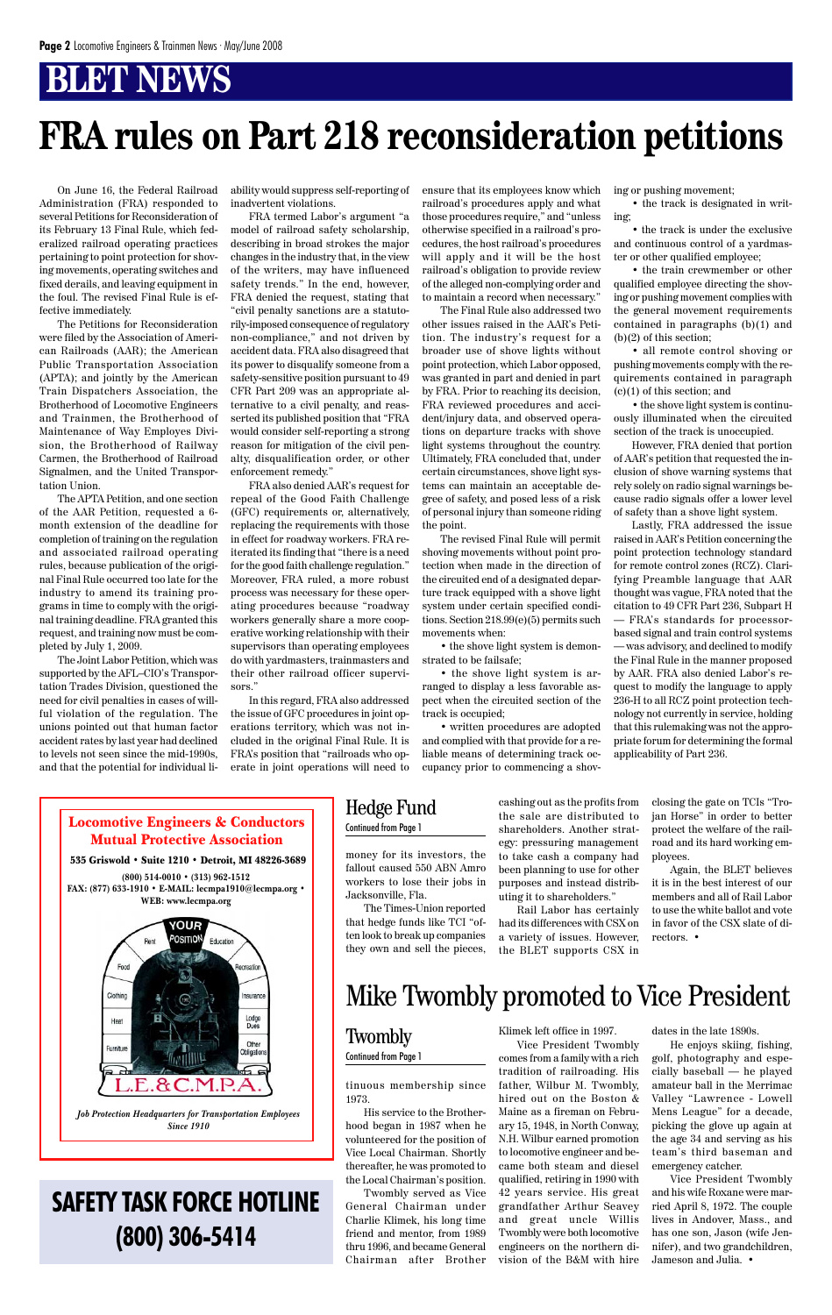#### tinuous membership since 1973.

His service to the Brotherhood began in 1987 when he volunteered for the position of Vice Local Chairman. Shortly thereafter, he was promoted to the Local Chairman's position.

Twombly served as Vice General Chairman under Charlie Klimek, his long time friend and mentor, from 1989 thru 1996, and became General Chairman after Brother

money for its investors, the fallout caused 550 ABN Amro workers to lose their jobs in Jacksonville, Fla.

The Times-Union reported that hedge funds like TCI "often look to break up companies they own and sell the pieces,

#### Locomotive Engineers & Conductors Mutual Protective Association

#### 535 Griswold • Suite 1210 • Detroit, MI 48226-3689

**(800) 514-0010 • (313) 962-1512 FAX: (877) 633-1910 • E-MAIL: lecmpa1910@lecmpa.org • WEB: www.lecmpa.org**



*Job Protection Headquarters for Transportation Employees Since 1910*

Klimek left office in 1997.

Vice President Twombly comes from a family with a rich tradition of railroading. His father, Wilbur M. Twombly, hired out on the Boston & Maine as a fireman on February 15, 1948, in North Conway, N.H. Wilbur earned promotion to locomotive engineer and became both steam and diesel qualified, retiring in 1990 with 42 years service. His great grandfather Arthur Seavey and great uncle Willis Twombly were both locomotive engineers on the northern division of the B&M with hire

dates in the late 1890s.

He enjoys skiing, fishing, golf, photography and especially baseball — he played amateur ball in the Merrimac Valley "Lawrence - Lowell Mens League" for a decade, picking the glove up again at the age 34 and serving as his team's third baseman and emergency catcher.

Vice President Twombly and his wife Roxane were married April 8, 1972. The couple lives in Andover, Mass., and has one son, Jason (wife Jennifer), and two grandchildren, Jameson and Julia. •

### Mike Twombly promoted to Vice President

#### **Twombly**

Continued from Page 1

cashing out as the profits from the sale are distributed to shareholders. Another strategy: pressuring management to take cash a company had been planning to use for other purposes and instead distributing it to shareholders."

Rail Labor has certainly had its differences with CSX on a variety of issues. However, the BLET supports CSX in

### Hedge Fund

#### Continued from Page 1

closing the gate on TCIs "Trojan Horse" in order to better protect the welfare of the railroad and its hard working employees.

Again, the BLET believes it is in the best interest of our members and all of Rail Labor to use the white ballot and vote in favor of the CSX slate of directors. •

On June 16, the Federal Railroad Administration (FRA) responded to several Petitions for Reconsideration of its February 13 Final Rule, which federalized railroad operating practices pertaining to point protection for shoving movements, operating switches and fixed derails, and leaving equipment in the foul. The revised Final Rule is effective immediately.

The Petitions for Reconsideration were filed by the Association of American Railroads (AAR); the American Public Transportation Association (APTA); and jointly by the American Train Dispatchers Association, the Brotherhood of Locomotive Engineers and Trainmen, the Brotherhood of Maintenance of Way Employes Division, the Brotherhood of Railway Carmen, the Brotherhood of Railroad Signalmen, and the United Transportation Union.

The APTA Petition, and one section of the AAR Petition, requested a 6 month extension of the deadline for completion of training on the regulation and associated railroad operating rules, because publication of the original Final Rule occurred too late for the industry to amend its training programs in time to comply with the original training deadline. FRA granted this request, and training now must be completed by July 1, 2009.

The Joint Labor Petition, which was supported by the AFL–CIO's Transportation Trades Division, questioned the need for civil penalties in cases of willful violation of the regulation. The unions pointed out that human factor accident rates by last year had declined to levels not seen since the mid-1990s, and that the potential for individual liability would suppress self-reporting of inadvertent violations.

FRA termed Labor's argument "a model of railroad safety scholarship, describing in broad strokes the major changes in the industry that, in the view of the writers, may have influenced safety trends." In the end, however, FRA denied the request, stating that "civil penalty sanctions are a statutorily-imposed consequence of regulatory non-compliance," and not driven by accident data. FRA also disagreed that its power to disqualify someone from a safety-sensitive position pursuant to 49 CFR Part 209 was an appropriate alternative to a civil penalty, and reasserted its published position that "FRA would consider self-reporting a strong reason for mitigation of the civil penalty, disqualification order, or other enforcement remedy."

FRA also denied AAR's request for repeal of the Good Faith Challenge (GFC) requirements or, alternatively, replacing the requirements with those in effect for roadway workers. FRA reiterated its finding that "there is a need for the good faith challenge regulation." Moreover, FRA ruled, a more robust process was necessary for these operating procedures because "roadway workers generally share a more cooperative working relationship with their supervisors than operating employees do with yardmasters, trainmasters and their other railroad officer supervisors."

In this regard, FRA also addressed the issue of GFC procedures in joint operations territory, which was not included in the original Final Rule. It is FRA's position that "railroads who operate in joint operations will need to ensure that its employees know which railroad's procedures apply and what those procedures require," and "unless otherwise specified in a railroad's procedures, the host railroad's procedures will apply and it will be the host railroad's obligation to provide review of the alleged non-complying order and to maintain a record when necessary."

The Final Rule also addressed two other issues raised in the AAR's Petition. The industry's request for a broader use of shove lights without point protection, which Labor opposed, was granted in part and denied in part by FRA. Prior to reaching its decision, FRA reviewed procedures and accident/injury data, and observed operations on departure tracks with shove light systems throughout the country. Ultimately, FRA concluded that, under certain circumstances, shove light systems can maintain an acceptable degree of safety, and posed less of a risk of personal injury than someone riding the point.

The revised Final Rule will permit shoving movements without point protection when made in the direction of the circuited end of a designated departure track equipped with a shove light system under certain specified conditions. Section 218.99(e)(5) permits such movements when:

• the shove light system is demonstrated to be failsafe;

• the shove light system is arranged to display a less favorable aspect when the circuited section of the track is occupied;

• written procedures are adopted and complied with that provide for a reliable means of determining track occupancy prior to commencing a shoving or pushing movement;

• the track is designated in writing;

• the track is under the exclusive and continuous control of a yardmaster or other qualified employee;

• the train crewmember or other qualified employee directing the shoving or pushing movement complies with the general movement requirements contained in paragraphs (b)(1) and (b)(2) of this section;

• all remote control shoving or pushing movements comply with the requirements contained in paragraph (c)(1) of this section; and

• the shove light system is continuously illuminated when the circuited section of the track is unoccupied.

However, FRA denied that portion of AAR's petition that requested the inclusion of shove warning systems that rely solely on radio signal warnings because radio signals offer a lower level of safety than a shove light system.

Lastly, FRA addressed the issue raised in AAR's Petition concerning the point protection technology standard for remote control zones (RCZ). Clarifying Preamble language that AAR thought was vague, FRA noted that the citation to 49 CFR Part 236, Subpart H — FRA's standards for processorbased signal and train control systems — was advisory, and declined to modify the Final Rule in the manner proposed by AAR. FRA also denied Labor's request to modify the language to apply 236-H to all RCZ point protection technology not currently in service, holding that this rulemaking was not the appropriate forum for determining the formal applicability of Part 236.

# **FRA rules on Part 218 reconsideration petitions**

### **SAFETY TASK FORCE HOTLINE (800) 306-5414**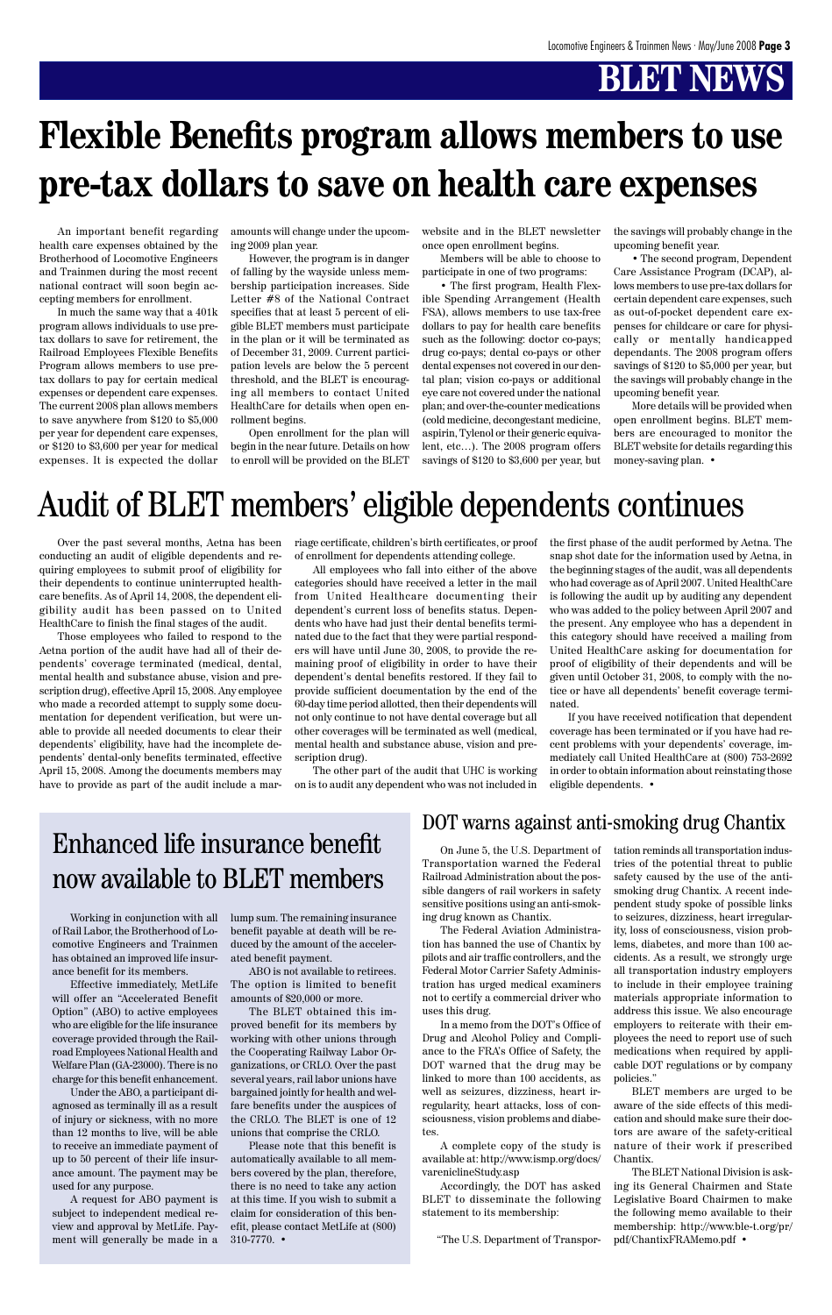Over the past several months, Aetna has been conducting an audit of eligible dependents and requiring employees to submit proof of eligibility for their dependents to continue uninterrupted healthcare benefits. As of April 14, 2008, the dependent eligibility audit has been passed on to United HealthCare to finish the final stages of the audit.

Those employees who failed to respond to the Aetna portion of the audit have had all of their dependents' coverage terminated (medical, dental, mental health and substance abuse, vision and prescription drug), effective April 15, 2008. Any employee who made a recorded attempt to supply some documentation for dependent verification, but were unable to provide all needed documents to clear their dependents' eligibility, have had the incomplete dependents' dental-only benefits terminated, effective April 15, 2008. Among the documents members may have to provide as part of the audit include a mar-

An important benefit regarding health care expenses obtained by the Brotherhood of Locomotive Engineers and Trainmen during the most recent national contract will soon begin accepting members for enrollment.

In much the same way that a 401k program allows individuals to use pretax dollars to save for retirement, the Railroad Employees Flexible Benefits Program allows members to use pretax dollars to pay for certain medical expenses or dependent care expenses. The current 2008 plan allows members to save anywhere from \$120 to \$5,000 per year for dependent care expenses, or \$120 to \$3,600 per year for medical expenses. It is expected the dollar amounts will change under the upcoming 2009 plan year.

However, the program is in danger of falling by the wayside unless membership participation increases. Side Letter #8 of the National Contract specifies that at least 5 percent of eligible BLET members must participate in the plan or it will be terminated as of December 31, 2009. Current participation levels are below the 5 percent threshold, and the BLET is encouraging all members to contact United HealthCare for details when open enrollment begins.

Open enrollment for the plan will begin in the near future. Details on how to enroll will be provided on the BLET website and in the BLET newsletter once open enrollment begins.

Members will be able to choose to participate in one of two programs:

• The first program, Health Flexible Spending Arrangement (Health FSA), allows members to use tax-free dollars to pay for health care benefits such as the following: doctor co-pays; drug co-pays; dental co-pays or other dental expenses not covered in our dental plan; vision co-pays or additional eye care not covered under the national plan; and over-the-counter medications (cold medicine, decongestant medicine, aspirin, Tylenol or their generic equivalent, etc…). The 2008 program offers savings of \$120 to \$3,600 per year, but

the savings will probably change in the upcoming benefit year.

• The second program, Dependent Care Assistance Program (DCAP), allows members to use pre-tax dollars for certain dependent care expenses, such as out-of-pocket dependent care expenses for childcare or care for physically or mentally handicapped dependants. The 2008 program offers savings of \$120 to \$5,000 per year, but the savings will probably change in the upcoming benefit year.

More details will be provided when open enrollment begins. BLET members are encouraged to monitor the BLET website for details regarding this money-saving plan. •

# **Flexible Benefits program allows members to use pre-tax dollars to save on health care expenses**

riage certificate, children's birth certificates, or proof of enrollment for dependents attending college.

All employees who fall into either of the above categories should have received a letter in the mail from United Healthcare documenting their dependent's current loss of benefits status. Dependents who have had just their dental benefits terminated due to the fact that they were partial responders will have until June 30, 2008, to provide the remaining proof of eligibility in order to have their dependent's dental benefits restored. If they fail to provide sufficient documentation by the end of the 60-day time period allotted, then their dependents will not only continue to not have dental coverage but all other coverages will be terminated as well (medical, mental health and substance abuse, vision and prescription drug).

The other part of the audit that UHC is working on is to audit any dependent who was not included in the first phase of the audit performed by Aetna. The snap shot date for the information used by Aetna, in the beginning stages of the audit, was all dependents who had coverage as of April 2007. United HealthCare is following the audit up by auditing any dependent who was added to the policy between April 2007 and the present. Any employee who has a dependent in this category should have received a mailing from United HealthCare asking for documentation for proof of eligibility of their dependents and will be given until October 31, 2008, to comply with the notice or have all dependents' benefit coverage terminated.

If you have received notification that dependent coverage has been terminated or if you have had recent problems with your dependents' coverage, immediately call United HealthCare at (800) 753-2692 in order to obtain information about reinstating those eligible dependents. •

## Audit of BLET members' eligible dependents continues

Working in conjunction with all of Rail Labor, the Brotherhood of Locomotive Engineers and Trainmen has obtained an improved life insur-

ance benefit for its members.

Effective immediately, MetLife will offer an "Accelerated Benefit Option" (ABO) to active employees who are eligible for the life insurance coverage provided through the Railroad Employees National Health and Welfare Plan (GA-23000). There is no charge for this benefit enhancement.

Under the ABO, a participant diagnosed as terminally ill as a result of injury or sickness, with no more than 12 months to live, will be able to receive an immediate payment of up to 50 percent of their life insurance amount. The payment may be used for any purpose.

A request for ABO payment is subject to independent medical review and approval by MetLife. Payment will generally be made in a lump sum. The remaining insurance benefit payable at death will be reduced by the amount of the accelerated benefit payment.

ABO is not available to retirees. The option is limited to benefit amounts of \$20,000 or more.

The BLET obtained this improved benefit for its members by working with other unions through the Cooperating Railway Labor Organizations, or CRLO. Over the past several years, rail labor unions have bargained jointly for health and welfare benefits under the auspices of the CRLO. The BLET is one of 12 unions that comprise the CRLO.

Please note that this benefit is automatically available to all members covered by the plan, therefore, there is no need to take any action at this time. If you wish to submit a claim for consideration of this benefit, please contact MetLife at (800) 310-7770. •

### Enhanced life insurance benefit now available to BLET members

On June 5, the U.S. Department of Transportation warned the Federal Railroad Administration about the possible dangers of rail workers in safety sensitive positions using an anti-smoking drug known as Chantix.

The Federal Aviation Administration has banned the use of Chantix by pilots and air traffic controllers, and the Federal Motor Carrier Safety Administration has urged medical examiners not to certify a commercial driver who uses this drug. In a memo from the DOT's Office of Drug and Alcohol Policy and Compliance to the FRA's Office of Safety, the DOT warned that the drug may be linked to more than 100 accidents, as well as seizures, dizziness, heart irregularity, heart attacks, loss of consciousness, vision problems and diabetes.

A complete copy of the study is available at: http://www.ismp.org/docs/ vareniclineStudy.asp

Accordingly, the DOT has asked BLET to disseminate the following statement to its membership:

"The U.S. Department of Transpor-

tation reminds all transportation industries of the potential threat to public safety caused by the use of the antismoking drug Chantix. A recent independent study spoke of possible links to seizures, dizziness, heart irregularity, loss of consciousness, vision problems, diabetes, and more than 100 accidents. As a result, we strongly urge all transportation industry employers to include in their employee training materials appropriate information to address this issue. We also encourage employers to reiterate with their employees the need to report use of such medications when required by applicable DOT regulations or by company policies."

BLET members are urged to be aware of the side effects of this medication and should make sure their doctors are aware of the safety-critical nature of their work if prescribed Chantix.

The BLET National Division is asking its General Chairmen and State Legislative Board Chairmen to make the following memo available to their membership: http://www.ble-t.org/pr/ pdf/ChantixFRAMemo.pdf •

#### DOT warns against anti-smoking drug Chantix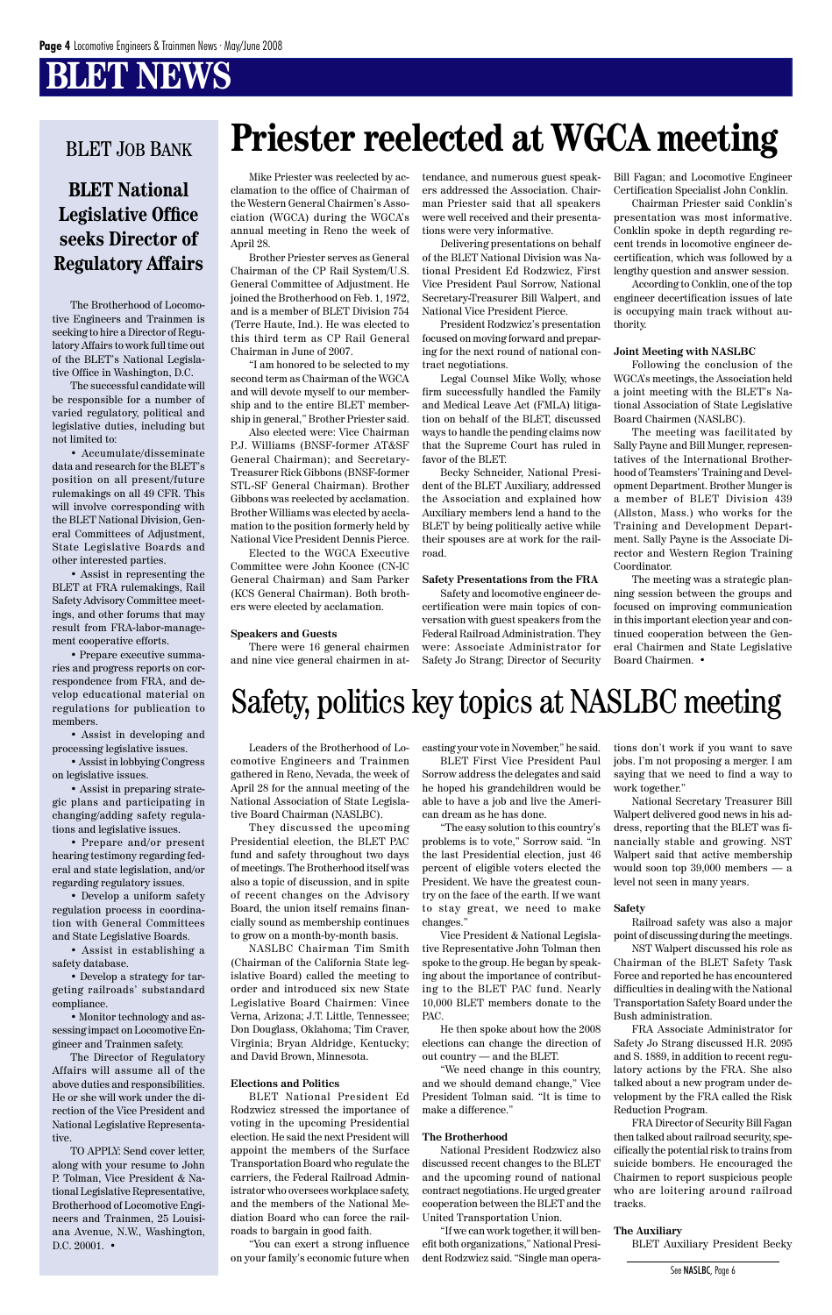The Brotherhood of Locomotive Engineers and Trainmen is seeking to hire a Director of Regulatory Affairs to work full time out of the BLET's National Legislative Office in Washington, D.C.

The successful candidate will be responsible for a number of varied regulatory, political and legislative duties, including but not limited to:

• Accumulate/disseminate data and research for the BLET's position on all present/future rulemakings on all 49 CFR. This will involve corresponding with the BLET National Division, General Committees of Adjustment, State Legislative Boards and other interested parties.

• Assist in representing the BLET at FRA rulemakings, Rail Safety Advisory Committee meetings, and other forums that may result from FRA-labor-management cooperative efforts.

• Prepare executive summaries and progress reports on correspondence from FRA, and develop educational material on regulations for publication to members.

TO APPLY: Send cover letter, along with your resume to John P. Tolman, Vice President & National Legislative Representative, Brotherhood of Locomotive Engineers and Trainmen, 25 Louisiana Avenue, N.W., Washington, D.C. 20001. •

• Assist in developing and processing legislative issues.

• Assist in lobbying Congress on legislative issues.

• Assist in preparing strategic plans and participating in changing/adding safety regulations and legislative issues.

• Prepare and/or present hearing testimony regarding federal and state legislation, and/or regarding regulatory issues.

• Develop a uniform safety regulation process in coordination with General Committees and State Legislative Boards.

• Assist in establishing a safety database.

• Develop a strategy for targeting railroads' substandard compliance.

• Monitor technology and assessing impact on Locomotive Engineer and Trainmen safety.

The Director of Regulatory Affairs will assume all of the above duties and responsibilities. He or she will work under the direction of the Vice President and National Legislative Representative.

### **BLET National Legislative Office seeks Director of Regulatory Affairs**

#### BLET JOB BANK

Mike Priester was reelected by acclamation to the office of Chairman of the Western General Chairmen's Association (WGCA) during the WGCA's annual meeting in Reno the week of April 28.

Brother Priester serves as General Chairman of the CP Rail System/U.S. General Committee of Adjustment. He joined the Brotherhood on Feb. 1, 1972, and is a member of BLET Division 754 (Terre Haute, Ind.). He was elected to this third term as CP Rail General Chairman in June of 2007.

"I am honored to be selected to my second term as Chairman of the WGCA and will devote myself to our membership and to the entire BLET membership in general," Brother Priester said.

Also elected were: Vice Chairman P.J. Williams (BNSF-former AT&SF General Chairman); and Secretary-Treasurer Rick Gibbons (BNSF-former STL-SF General Chairman). Brother Gibbons was reelected by acclamation. Brother Williams was elected by acclamation to the position formerly held by National Vice President Dennis Pierce.

Elected to the WGCA Executive Committee were John Koonce (CN-IC General Chairman) and Sam Parker (KCS General Chairman). Both brothers were elected by acclamation.

#### **Speakers and Guests**

There were 16 general chairmen and nine vice general chairmen in at-

tendance, and numerous guest speakers addressed the Association. Chairman Priester said that all speakers were well received and their presentations were very informative.

Delivering presentations on behalf of the BLET National Division was National President Ed Rodzwicz, First Vice President Paul Sorrow, National Secretary-Treasurer Bill Walpert, and National Vice President Pierce.

President Rodzwicz's presentation focused on moving forward and preparing for the next round of national contract negotiations.

Legal Counsel Mike Wolly, whose firm successfully handled the Family and Medical Leave Act (FMLA) litigation on behalf of the BLET, discussed ways to handle the pending claims now that the Supreme Court has ruled in favor of the BLET.

Becky Schneider, National President of the BLET Auxiliary, addressed the Association and explained how Auxiliary members lend a hand to the BLET by being politically active while their spouses are at work for the railroad.

#### **Safety Presentations from the FRA**

Safety and locomotive engineer decertification were main topics of conversation with guest speakers from the Federal Railroad Administration. They were: Associate Administrator for Safety Jo Strang; Director of Security Bill Fagan; and Locomotive Engineer Certification Specialist John Conklin.

Chairman Priester said Conklin's presentation was most informative. Conklin spoke in depth regarding recent trends in locomotive engineer decertification, which was followed by a lengthy question and answer session.

According to Conklin, one of the top engineer decertification issues of late is occupying main track without authority.

#### **Joint Meeting with NASLBC**

Following the conclusion of the WGCA's meetings, the Association held a joint meeting with the BLET's National Association of State Legislative Board Chairmen (NASLBC).

The meeting was facilitated by Sally Payne and Bill Munger, representatives of the International Brotherhood of Teamsters' Training and Development Department. Brother Munger is a member of BLET Division 439 (Allston, Mass.) who works for the Training and Development Department. Sally Payne is the Associate Director and Western Region Training Coordinator.

The meeting was a strategic planning session between the groups and focused on improving communication in this important election year and continued cooperation between the General Chairmen and State Legislative Board Chairmen. •

# **Priester reelected at WGCA meeting**

### Safety, politics key topics at NASLBC meeting

Leaders of the Brotherhood of Locomotive Engineers and Trainmen gathered in Reno, Nevada, the week of April 28 for the annual meeting of the National Association of State Legislative Board Chairman (NASLBC).

They discussed the upcoming Presidential election, the BLET PAC fund and safety throughout two days of meetings. The Brotherhood itself was also a topic of discussion, and in spite of recent changes on the Advisory Board, the union itself remains financially sound as membership continues to grow on a month-by-month basis.

NASLBC Chairman Tim Smith (Chairman of the California State legislative Board) called the meeting to order and introduced six new State Legislative Board Chairmen: Vince Verna, Arizona; J.T. Little, Tennessee; Don Douglass, Oklahoma; Tim Craver, Virginia; Bryan Aldridge, Kentucky; and David Brown, Minnesota.

#### **Elections and Politics**

BLET National President Ed Rodzwicz stressed the importance of voting in the upcoming Presidential election. He said the next President will appoint the members of the Surface Transportation Board who regulate the carriers, the Federal Railroad Administrator who oversees workplace safety, and the members of the National Mediation Board who can force the railroads to bargain in good faith.

"You can exert a strong influence on your family's economic future when casting your vote in November," he said.

BLET First Vice President Paul Sorrow address the delegates and said he hoped his grandchildren would be able to have a job and live the American dream as he has done.

"The easy solution to this country's problems is to vote," Sorrow said. "In the last Presidential election, just 46 percent of eligible voters elected the President. We have the greatest country on the face of the earth. If we want to stay great, we need to make changes."

Vice President & National Legislative Representative John Tolman then spoke to the group. He began by speaking about the importance of contributing to the BLET PAC fund. Nearly 10,000 BLET members donate to the PAC.

He then spoke about how the 2008 elections can change the direction of out country — and the BLET.

"We need change in this country, and we should demand change," Vice President Tolman said. "It is time to make a difference."

#### **The Brotherhood**

National President Rodzwicz also discussed recent changes to the BLET and the upcoming round of national contract negotiations. He urged greater cooperation between the BLET and the United Transportation Union.

"If we can work together, it will benefit both organizations," National President Rodzwicz said. "Single man operations don't work if you want to save jobs. I'm not proposing a merger. I am saying that we need to find a way to work together."

National Secretary Treasurer Bill Walpert delivered good news in his address, reporting that the BLET was financially stable and growing. NST Walpert said that active membership would soon top 39,000 members — a level not seen in many years.

#### **Safety**

Railroad safety was also a major point of discussing during the meetings.

NST Walpert discussed his role as Chairman of the BLET Safety Task

Force and reported he has encountered difficulties in dealing with the National Transportation Safety Board under the Bush administration.

FRA Associate Administrator for Safety Jo Strang discussed H.R. 2095 and S. 1889, in addition to recent regulatory actions by the FRA. She also talked about a new program under development by the FRA called the Risk Reduction Program.

FRA Director of Security Bill Fagan then talked about railroad security, specifically the potential risk to trains from suicide bombers. He encouraged the Chairmen to report suspicious people who are loitering around railroad tracks.

#### **The Auxiliary**

BLET Auxiliary President Becky

See NASLBC, Page 6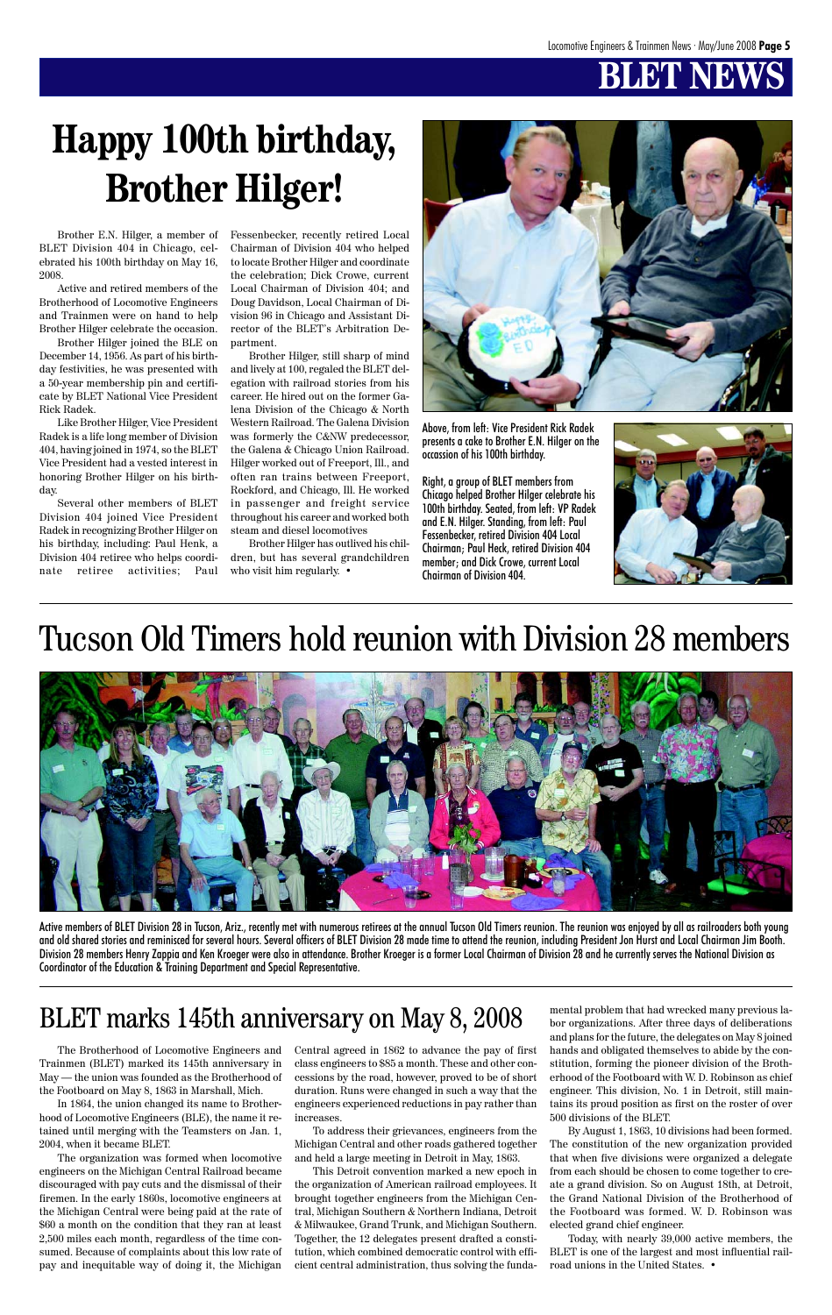# **BLET**

# **Happy 100th birthday, Brother Hilger!**

Brother E.N. Hilger, a member of BLET Division 404 in Chicago, celebrated his 100th birthday on May 16, 2008.

Active and retired members of the Brotherhood of Locomotive Engineers and Trainmen were on hand to help Brother Hilger celebrate the occasion.

Brother Hilger joined the BLE on December 14, 1956. As part of his birthday festivities, he was presented with a 50-year membership pin and certificate by BLET National Vice President Rick Radek.

Like Brother Hilger, Vice President Radek is a life long member of Division 404, having joined in 1974, so the BLET Vice President had a vested interest in honoring Brother Hilger on his birthday.

Several other members of BLET Division 404 joined Vice President Radek in recognizing Brother Hilger on his birthday, including: Paul Henk, a Division 404 retiree who helps coordinate retiree activities; Paul Fessenbecker, recently retired Local Chairman of Division 404 who helped to locate Brother Hilger and coordinate the celebration; Dick Crowe, current Local Chairman of Division 404; and Doug Davidson, Local Chairman of Division 96 in Chicago and Assistant Director of the BLET's Arbitration Department.

Brother Hilger, still sharp of mind and lively at 100, regaled the BLET delegation with railroad stories from his career. He hired out on the former Galena Division of the Chicago & North Western Railroad. The Galena Division was formerly the C&NW predecessor, the Galena & Chicago Union Railroad. Hilger worked out of Freeport, Ill., and often ran trains between Freeport, Rockford, and Chicago, Ill. He worked in passenger and freight service throughout his career and worked both steam and diesel locomotives

Brother Hilger has outlived his children, but has several grandchildren who visit him regularly. •



Above, from left: Vice President Rick Radek presents a cake to Brother E.N. Hilger on the occassion of his 100th birthday.

Right, a group of BLET members from Chicago helped Brother Hilger celebrate his 100th birthday. Seated, from left: VP Radek and E.N. Hilger. Standing, from left: Paul Fessenbecker, retired Division 404 Local Chairman; Paul Heck, retired Division 404 member; and Dick Crowe, current Local Chairman of Division 404.



# Tucson Old Timers hold reunion with Division 28 members



Active members of BLET Division 28 in Tucson, Ariz., recently met with numerous retirees at the annual Tucson Old Timers reunion. The reunion was enjoyed by all as railroaders both young and old shared stories and reminisced for several hours. Several officers of BLET Division 28 made time to attend the reunion, including President Jon Hurst and Local Chairman Jim Booth. Division 28 members Henry Zappia and Ken Kroeger were also in attendance. Brother Kroeger is a former Local Chairman of Division 28 and he currently serves the National Division as

### BLET marks 145th anniversary on May 8, 2008

The Brotherhood of Locomotive Engineers and Trainmen (BLET) marked its 145th anniversary in May — the union was founded as the Brotherhood of the Footboard on May 8, 1863 in Marshall, Mich.

In 1864, the union changed its name to Brotherhood of Locomotive Engineers (BLE), the name it retained until merging with the Teamsters on Jan. 1, 2004, when it became BLET.

The organization was formed when locomotive engineers on the Michigan Central Railroad became discouraged with pay cuts and the dismissal of their firemen. In the early 1860s, locomotive engineers at the Michigan Central were being paid at the rate of \$60 a month on the condition that they ran at least 2,500 miles each month, regardless of the time consumed. Because of complaints about this low rate of pay and inequitable way of doing it, the Michigan

Central agreed in 1862 to advance the pay of first class engineers to \$85 a month. These and other concessions by the road, however, proved to be of short duration. Runs were changed in such a way that the engineers experienced reductions in pay rather than increases.

To address their grievances, engineers from the Michigan Central and other roads gathered together and held a large meeting in Detroit in May, 1863.

This Detroit convention marked a new epoch in the organization of American railroad employees. It brought together engineers from the Michigan Central, Michigan Southern & Northern Indiana, Detroit & Milwaukee, Grand Trunk, and Michigan Southern. Together, the 12 delegates present drafted a constitution, which combined democratic control with efficient central administration, thus solving the fundamental problem that had wrecked many previous labor organizations. After three days of deliberations and plans for the future, the delegates on May 8 joined hands and obligated themselves to abide by the constitution, forming the pioneer division of the Brotherhood of the Footboard with W. D. Robinson as chief engineer. This division, No. 1 in Detroit, still maintains its proud position as first on the roster of over 500 divisions of the BLET.

By August 1, 1863, 10 divisions had been formed. The constitution of the new organization provided that when five divisions were organized a delegate from each should be chosen to come together to create a grand division. So on August 18th, at Detroit, the Grand National Division of the Brotherhood of the Footboard was formed. W. D. Robinson was elected grand chief engineer.

Today, with nearly 39,000 active members, the BLET is one of the largest and most influential railroad unions in the United States. •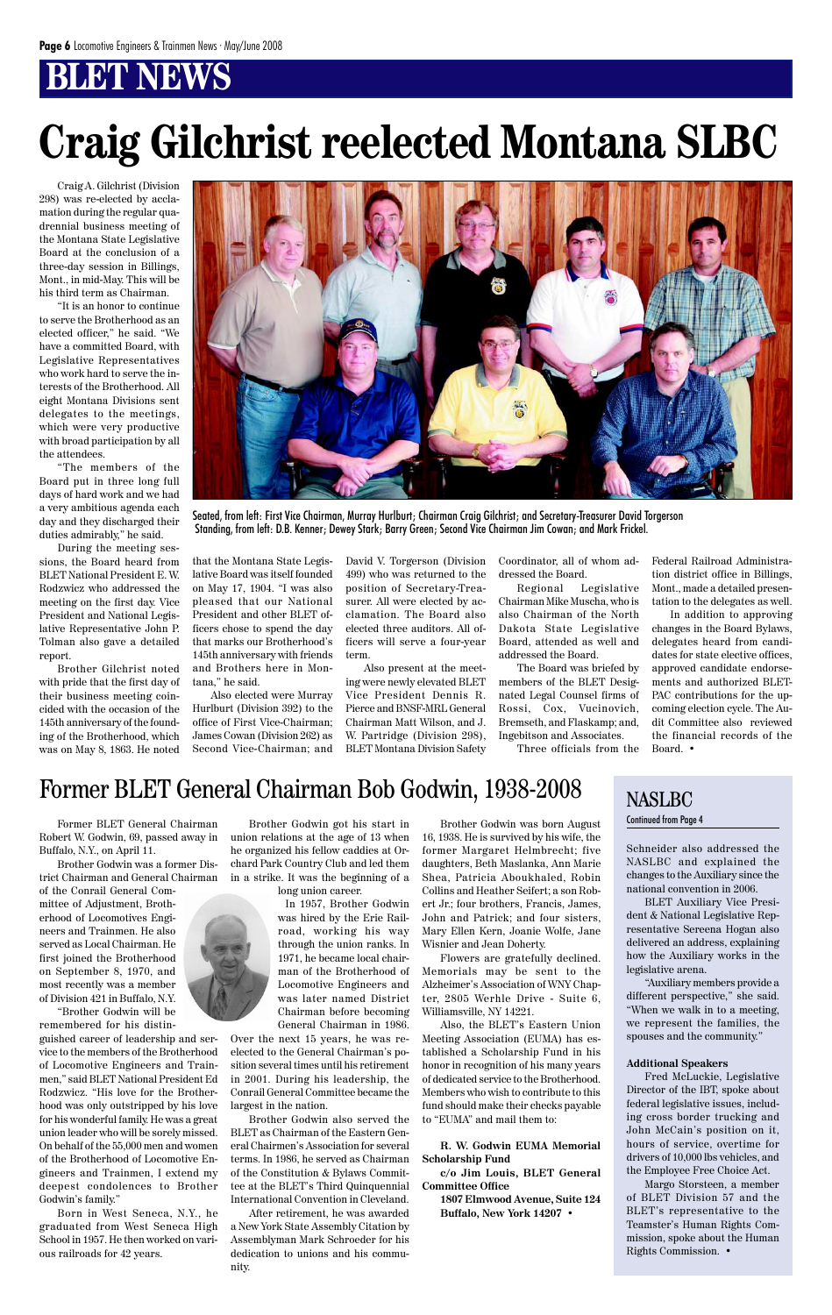Schneider also addressed the NASLBC and explained the changes to the Auxiliary since the national convention in 2006.

BLET Auxiliary Vice President & National Legislative Representative Sereena Hogan also delivered an address, explaining how the Auxiliary works in the legislative arena. "Auxiliary members provide a different perspective," she said. "When we walk in to a meeting, we represent the families, the spouses and the community."

#### **Additional Speakers**

Fred McLuckie, Legislative Director of the IBT, spoke about federal legislative issues, including cross border trucking and John McCain's position on it, hours of service, overtime for drivers of 10,000 lbs vehicles, and the Employee Free Choice Act.

Margo Storsteen, a member of BLET Division 57 and the BLET's representative to the Teamster's Human Rights Commission, spoke about the Human Rights Commission. •

Craig A. Gilchrist (Division 298) was re-elected by acclamation during the regular quadrennial business meeting of the Montana State Legislative Board at the conclusion of a three-day session in Billings, Mont., in mid-May. This will be his third term as Chairman.

"It is an honor to continue to serve the Brotherhood as an elected officer," he said. "We have a committed Board, with Legislative Representatives who work hard to serve the interests of the Brotherhood. All eight Montana Divisions sent delegates to the meetings, which were very productive with broad participation by all the attendees.

"The members of the Board put in three long full days of hard work and we had a very ambitious agenda each day and they discharged their duties admirably," he said.

During the meeting sessions, the Board heard from BLET National President E. W. Rodzwicz who addressed the meeting on the first day. Vice President and National Legislative Representative John P. Tolman also gave a detailed report.

Brother Gilchrist noted with pride that the first day of their business meeting coincided with the occasion of the 145th anniversary of the founding of the Brotherhood, which was on May 8, 1863. He noted



Seated, from left: First Vice Chairman, Murray Hurlburt; Chairman Craig Gilchrist; and Secretary-Treasurer David Torgerson Standing, from left: D.B. Kenner; Dewey Stark; Barry Green; Second Vice Chairman Jim Cowan; and Mark Frickel.

# **Craig Gilchrist reelected Montana SLBC**

that the Montana State Legislative Board was itself founded on May 17, 1904. "I was also pleased that our National President and other BLET officers chose to spend the day that marks our Brotherhood's 145th anniversary with friends and Brothers here in Montana," he said.

Also elected were Murray Hurlburt (Division 392) to the office of First Vice-Chairman; James Cowan (Division 262) as Second Vice-Chairman; and

David V. Torgerson (Division 499) who was returned to the position of Secretary-Treasurer. All were elected by acclamation. The Board also elected three auditors. All officers will serve a four-year term.

Also present at the meeting were newly elevated BLET Vice President Dennis R. Pierce and BNSF-MRL General Chairman Matt Wilson, and J. W. Partridge (Division 298), BLET Montana Division Safety Coordinator, all of whom addressed the Board.

Regional Legislative Chairman Mike Muscha, who is also Chairman of the North Dakota State Legislative Board, attended as well and addressed the Board.

The Board was briefed by members of the BLET Designated Legal Counsel firms of Rossi, Cox, Vucinovich, Bremseth, and Flaskamp; and, Ingebitson and Associates.

Three officials from the

Federal Railroad Administration district office in Billings, Mont., made a detailed presentation to the delegates as well.

In addition to approving changes in the Board Bylaws, delegates heard from candidates for state elective offices, approved candidate endorsements and authorized BLET-PAC contributions for the upcoming election cycle. The Audit Committee also reviewed the financial records of the Board. •

### Former BLET General Chairman Bob Godwin, 1938-2008 NASLBC

Former BLET General Chairman Robert W. Godwin, 69, passed away in Buffalo, N.Y., on April 11.

Brother Godwin was a former District Chairman and General Chairman

of the Conrail General Committee of Adjustment, Brotherhood of Locomotives Engineers and Trainmen. He also served as Local Chairman. He first joined the Brotherhood



on September 8, 1970, and most recently was a member of Division 421 in Buffalo, N.Y. "Brother Godwin will be remembered for his distin-

guished career of leadership and service to the members of the Brotherhood of Locomotive Engineers and Trainmen," said BLET National President Ed Rodzwicz. "His love for the Brotherhood was only outstripped by his love for his wonderful family. He was a great union leader who will be sorely missed. On behalf of the 55,000 men and women of the Brotherhood of Locomotive Engineers and Trainmen, I extend my deepest condolences to Brother Godwin's family."

Born in West Seneca, N.Y., he graduated from West Seneca High School in 1957. He then worked on various railroads for 42 years.

Brother Godwin got his start in union relations at the age of 13 when he organized his fellow caddies at Orchard Park Country Club and led them in a strike. It was the beginning of a

long union career.

In 1957, Brother Godwin was hired by the Erie Railroad, working his way through the union ranks. In 1971, he became local chair-

man of the Brotherhood of Locomotive Engineers and was later named District Chairman before becoming General Chairman in 1986.

Over the next 15 years, he was reelected to the General Chairman's position several times until his retirement in 2001. During his leadership, the Conrail General Committee became the largest in the nation.

Brother Godwin also served the BLET as Chairman of the Eastern General Chairmen's Association for several terms. In 1986, he served as Chairman of the Constitution & Bylaws Committee at the BLET's Third Quinquennial International Convention in Cleveland.

After retirement, he was awarded a New York State Assembly Citation by Assemblyman Mark Schroeder for his dedication to unions and his community.

Brother Godwin was born August 16, 1938. He is survived by his wife, the former Margaret Helmbrecht; five daughters, Beth Maslanka, Ann Marie Shea, Patricia Aboukhaled, Robin Collins and Heather Seifert; a son Robert Jr.; four brothers, Francis, James, John and Patrick; and four sisters, Mary Ellen Kern, Joanie Wolfe, Jane Wisnier and Jean Doherty.

Flowers are gratefully declined.

Memorials may be sent to the Alzheimer's Association of WNY Chapter, 2805 Werhle Drive - Suite 6, Williamsville, NY 14221.

Also, the BLET's Eastern Union Meeting Association (EUMA) has established a Scholarship Fund in his honor in recognition of his many years of dedicated service to the Brotherhood. Members who wish to contribute to this fund should make their checks payable to "EUMA" and mail them to:

**R. W. Godwin EUMA Memorial Scholarship Fund**

**c/o Jim Louis, BLET General Committee Office**

**1807 Elmwood Avenue, Suite 124 Buffalo, New York 14207** •

#### Continued from Page 4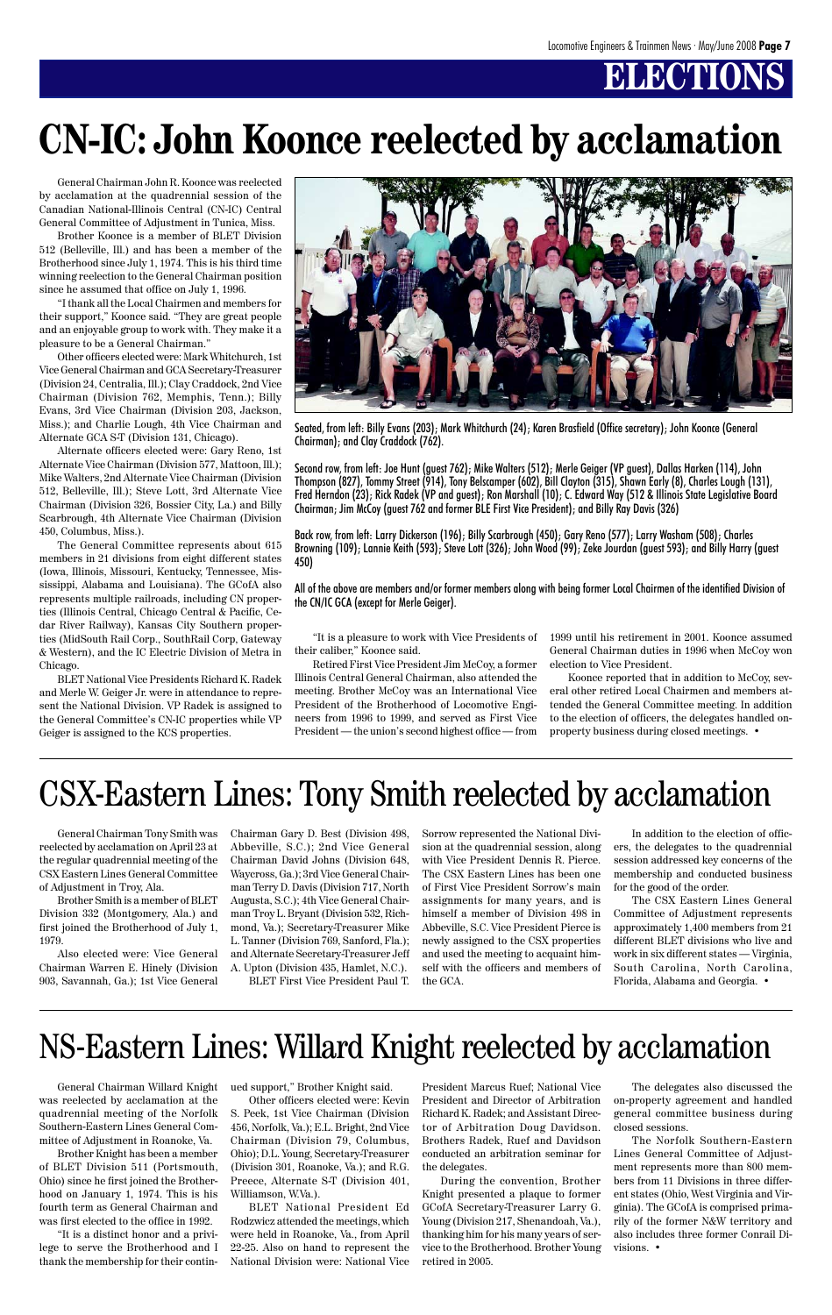## **ELECTIONS**

General Chairman Tony Smith was reelected by acclamation on April 23 at the regular quadrennial meeting of the CSX Eastern Lines General Committee of Adjustment in Troy, Ala.

Brother Smith is a member of BLET Division 332 (Montgomery, Ala.) and first joined the Brotherhood of July 1, 1979.

Also elected were: Vice General 903, Savannah, Ga.); 1st Vice General

General Chairman John R. Koonce was reelected by acclamation at the quadrennial session of the Canadian National-Illinois Central (CN-IC) Central General Committee of Adjustment in Tunica, Miss.

Brother Koonce is a member of BLET Division 512 (Belleville, Ill.) and has been a member of the Brotherhood since July 1, 1974. This is his third time winning reelection to the General Chairman position since he assumed that office on July 1, 1996.

"I thank all the Local Chairmen and members for their support," Koonce said. "They are great people and an enjoyable group to work with. They make it a pleasure to be a General Chairman."

Other officers elected were: Mark Whitchurch, 1st Vice General Chairman and GCA Secretary-Treasurer (Division 24, Centralia, Ill.); Clay Craddock, 2nd Vice Chairman (Division 762, Memphis, Tenn.); Billy Evans, 3rd Vice Chairman (Division 203, Jackson, Miss.); and Charlie Lough, 4th Vice Chairman and Alternate GCA S-T (Division 131, Chicago).

Alternate officers elected were: Gary Reno, 1st Alternate Vice Chairman (Division 577, Mattoon, Ill.); Mike Walters, 2nd Alternate Vice Chairman (Division 512, Belleville, Ill.); Steve Lott, 3rd Alternate Vice Chairman (Division 326, Bossier City, La.) and Billy Scarbrough, 4th Alternate Vice Chairman (Division 450, Columbus, Miss.).

The General Committee represents about 615 members in 21 divisions from eight different states (Iowa, Illinois, Missouri, Kentucky, Tennessee, Mississippi, Alabama and Louisiana). The GCofA also represents multiple railroads, including CN properties (Illinois Central, Chicago Central & Pacific, Cedar River Railway), Kansas City Southern properties (MidSouth Rail Corp., SouthRail Corp, Gateway & Western), and the IC Electric Division of Metra in Chicago.

BLET National Vice Presidents Richard K. Radek and Merle W. Geiger Jr. were in attendance to represent the National Division. VP Radek is assigned to the General Committee's CN-IC properties while VP Geiger is assigned to the KCS properties.

General Chairman Willard Knight was reelected by acclamation at the quadrennial meeting of the Norfolk Southern-Eastern Lines General Committee of Adjustment in Roanoke, Va.

Brother Knight has been a member of BLET Division 511 (Portsmouth, Ohio) since he first joined the Brotherhood on January 1, 1974. This is his fourth term as General Chairman and was first elected to the office in 1992.

"It is a distinct honor and a privilege to serve the Brotherhood and I thank the membership for their contin-

"It is a pleasure to work with Vice Presidents of their caliber," Koonce said.

Retired First Vice President Jim McCoy, a former Illinois Central General Chairman, also attended the meeting. Brother McCoy was an International Vice President of the Brotherhood of Locomotive Engineers from 1996 to 1999, and served as First Vice President — the union's second highest office — from 1999 until his retirement in 2001. Koonce assumed General Chairman duties in 1996 when McCoy won election to Vice President.

Koonce reported that in addition to McCoy, several other retired Local Chairmen and members attended the General Committee meeting. In addition to the election of officers, the delegates handled onproperty business during closed meetings. •

# **CN-IC: John Koonce reelected by acclamation**



Seated, from left: Billy Evans (203); Mark Whitchurch (24); Karen Brasfield (Office secretary); John Koonce (General Chairman); and Clay Craddock (762).

Chairman Warren E. Hinely (Division A. Upton (Division 435, Hamlet, N.C.). self with the officers and members of South Carolina, North Carolina, Florida, Alabama and Georgia. •

Second row, from left: Joe Hunt (guest 762); Mike Walters (512); Merle Geiger (VP guest), Dallas Harken (114), John Thompson (827), Tommy Street (914), Tony Belscamper (602), Bill Clayton (315), Shawn Early (8), Charles Lough (131), Fred Herndon (23); Rick Radek (VP and guest); Ron Marshall (10); C. Edward Way (512 & Illinois State Legislative Board Chairman; Jim McCoy (guest 762 and former BLE First Vice President); and Billy Ray Davis (326)

Back row, from left: Larry Dickerson (196); Billy Scarbrough (450); Gary Reno (577); Larry Washam (508); Charles Browning (109); Lannie Keith (593); Steve Lott (326); John Wood (99); Zeke Jourdan (guest 593); and Billy Harry (guest 450)

All of the above are members and/or former members along with being former Local Chairmen of the identified Division of the CN/IC GCA (except for Merle Geiger).

ued support," Brother Knight said.

Other officers elected were: Kevin S. Peek, 1st Vice Chairman (Division 456, Norfolk, Va.); E.L. Bright, 2nd Vice Chairman (Division 79, Columbus, Ohio); D.L. Young, Secretary-Treasurer (Division 301, Roanoke, Va.); and R.G. Preece, Alternate S-T (Division 401, Williamson, W.Va.).

BLET National President Ed Rodzwicz attended the meetings, which were held in Roanoke, Va., from April 22-25. Also on hand to represent the National Division were: National Vice

President Marcus Ruef; National Vice President and Director of Arbitration Richard K. Radek; and Assistant Director of Arbitration Doug Davidson. Brothers Radek, Ruef and Davidson conducted an arbitration seminar for the delegates.

During the convention, Brother Knight presented a plaque to former GCofA Secretary-Treasurer Larry G. Young (Division 217, Shenandoah, Va.), thanking him for his many years of service to the Brotherhood. Brother Young retired in 2005.

The delegates also discussed the on-property agreement and handled general committee business during closed sessions.

The Norfolk Southern-Eastern Lines General Committee of Adjustment represents more than 800 members from 11 Divisions in three different states (Ohio, West Virginia and Virginia). The GCofA is comprised primarily of the former N&W territory and also includes three former Conrail Divisions. •

### NS-Eastern Lines: Willard Knight reelected by acclamation

Chairman Gary D. Best (Division 498, Abbeville, S.C.); 2nd Vice General Chairman David Johns (Division 648, Waycross, Ga.); 3rd Vice General Chairman Terry D. Davis (Division 717, North Augusta, S.C.); 4th Vice General Chairman Troy L. Bryant (Division 532, Richmond, Va.); Secretary-Treasurer Mike L. Tanner (Division 769, Sanford, Fla.); and Alternate Secretary-Treasurer Jeff Sorrow represented the National Division at the quadrennial session, along with Vice President Dennis R. Pierce. The CSX Eastern Lines has been one of First Vice President Sorrow's main assignments for many years, and is himself a member of Division 498 in Abbeville, S.C. Vice President Pierce is newly assigned to the CSX properties and used the meeting to acquaint him-

BLET First Vice President Paul T. the GCA.

In addition to the election of officers, the delegates to the quadrennial session addressed key concerns of the membership and conducted business for the good of the order.

The CSX Eastern Lines General Committee of Adjustment represents approximately 1,400 members from 21 different BLET divisions who live and work in six different states — Virginia,

# CSX-Eastern Lines: Tony Smith reelected by acclamation